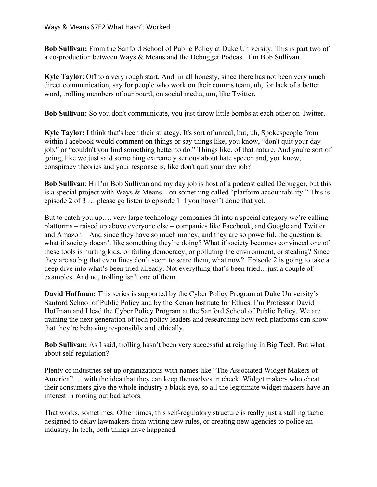**Bob Sullivan:** From the Sanford School of Public Policy at Duke University. This is part two of a co-production between Ways & Means and the Debugger Podcast. I'm Bob Sullivan.

**Kyle Taylor**: Off to a very rough start. And, in all honesty, since there has not been very much direct communication, say for people who work on their comms team, uh, for lack of a better word, trolling members of our board, on social media, um, like Twitter.

**Bob Sullivan:** So you don't communicate, you just throw little bombs at each other on Twitter.

**Kyle Taylor:** I think that's been their strategy. It's sort of unreal, but, uh, Spokespeople from within Facebook would comment on things or say things like, you know, "don't quit your day job," or "couldn't you find something better to do." Things like, of that nature. And you're sort of going, like we just said something extremely serious about hate speech and, you know, conspiracy theories and your response is, like don't quit your day job?

**Bob Sullivan**: Hi I'm Bob Sullivan and my day job is host of a podcast called Debugger, but this is a special project with Ways & Means – on something called "platform accountability." This is episode 2 of 3 … please go listen to episode 1 if you haven't done that yet.

But to catch you up…. very large technology companies fit into a special category we're calling platforms – raised up above everyone else – companies like Facebook, and Google and Twitter and Amazon – And since they have so much money, and they are so powerful, the question is: what if society doesn't like something they're doing? What if society becomes convinced one of these tools is hurting kids, or failing democracy, or polluting the environment, or stealing? Since they are so big that even fines don't seem to scare them, what now? Episode 2 is going to take a deep dive into what's been tried already. Not everything that's been tried…just a couple of examples. And no, trolling isn't one of them.

**David Hoffman:** This series is supported by the Cyber Policy Program at Duke University's Sanford School of Public Policy and by the Kenan Institute for Ethics. I'm Professor David Hoffman and I lead the Cyber Policy Program at the Sanford School of Public Policy. We are training the next generation of tech policy leaders and researching how tech platforms can show that they're behaving responsibly and ethically.

**Bob Sullivan:** As I said, trolling hasn't been very successful at reigning in Big Tech. But what about self-regulation?

Plenty of industries set up organizations with names like "The Associated Widget Makers of America" … with the idea that they can keep themselves in check. Widget makers who cheat their consumers give the whole industry a black eye, so all the legitimate widget makers have an interest in rooting out bad actors.

That works, sometimes. Other times, this self-regulatory structure is really just a stalling tactic designed to delay lawmakers from writing new rules, or creating new agencies to police an industry. In tech, both things have happened.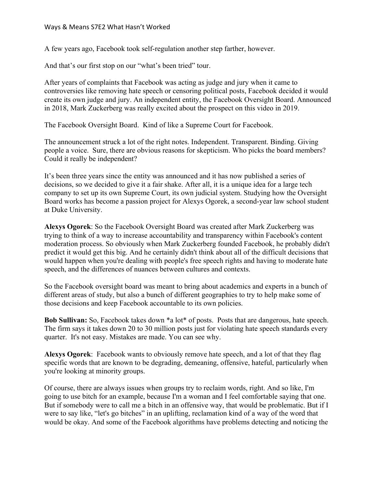A few years ago, Facebook took self-regulation another step farther, however.

And that's our first stop on our "what's been tried" tour.

After years of complaints that Facebook was acting as judge and jury when it came to controversies like removing hate speech or censoring political posts, Facebook decided it would create its own judge and jury. An independent entity, the Facebook Oversight Board. Announced in 2018, Mark Zuckerberg was really excited about the prospect on this video in 2019.

The Facebook Oversight Board. Kind of like a Supreme Court for Facebook.

The announcement struck a lot of the right notes. Independent. Transparent. Binding. Giving people a voice. Sure, there are obvious reasons for skepticism. Who picks the board members? Could it really be independent?

It's been three years since the entity was announced and it has now published a series of decisions, so we decided to give it a fair shake. After all, it is a unique idea for a large tech company to set up its own Supreme Court, its own judicial system. Studying how the Oversight Board works has become a passion project for Alexys Ogorek, a second-year law school student at Duke University.

**Alexys Ogorek**: So the Facebook Oversight Board was created after Mark Zuckerberg was trying to think of a way to increase accountability and transparency within Facebook's content moderation process. So obviously when Mark Zuckerberg founded Facebook, he probably didn't predict it would get this big. And he certainly didn't think about all of the difficult decisions that would happen when you're dealing with people's free speech rights and having to moderate hate speech, and the differences of nuances between cultures and contexts.

So the Facebook oversight board was meant to bring about academics and experts in a bunch of different areas of study, but also a bunch of different geographies to try to help make some of those decisions and keep Facebook accountable to its own policies.

**Bob Sullivan:** So, Facebook takes down \*a lot\* of posts. Posts that are dangerous, hate speech. The firm says it takes down 20 to 30 million posts just for violating hate speech standards every quarter. It's not easy. Mistakes are made. You can see why.

**Alexys Ogorek**: Facebook wants to obviously remove hate speech, and a lot of that they flag specific words that are known to be degrading, demeaning, offensive, hateful, particularly when you're looking at minority groups.

Of course, there are always issues when groups try to reclaim words, right. And so like, I'm going to use bitch for an example, because I'm a woman and I feel comfortable saying that one. But if somebody were to call me a bitch in an offensive way, that would be problematic. But if I were to say like, "let's go bitches" in an uplifting, reclamation kind of a way of the word that would be okay. And some of the Facebook algorithms have problems detecting and noticing the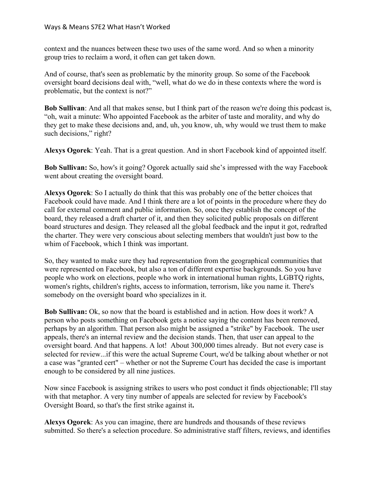context and the nuances between these two uses of the same word. And so when a minority group tries to reclaim a word, it often can get taken down.

And of course, that's seen as problematic by the minority group. So some of the Facebook oversight board decisions deal with, "well, what do we do in these contexts where the word is problematic, but the context is not?"

**Bob Sullivan**: And all that makes sense, but I think part of the reason we're doing this podcast is, "oh, wait a minute: Who appointed Facebook as the arbiter of taste and morality, and why do they get to make these decisions and, and, uh, you know, uh, why would we trust them to make such decisions," right?

**Alexys Ogorek**: Yeah. That is a great question. And in short Facebook kind of appointed itself.

**Bob Sullivan:** So, how's it going? Ogorek actually said she's impressed with the way Facebook went about creating the oversight board.

**Alexys Ogorek**: So I actually do think that this was probably one of the better choices that Facebook could have made. And I think there are a lot of points in the procedure where they do call for external comment and public information. So, once they establish the concept of the board, they released a draft charter of it, and then they solicited public proposals on different board structures and design. They released all the global feedback and the input it got, redrafted the charter. They were very conscious about selecting members that wouldn't just bow to the whim of Facebook, which I think was important.

So, they wanted to make sure they had representation from the geographical communities that were represented on Facebook, but also a ton of different expertise backgrounds. So you have people who work on elections, people who work in international human rights, LGBTQ rights, women's rights, children's rights, access to information, terrorism, like you name it. There's somebody on the oversight board who specializes in it.

**Bob Sullivan:** Ok, so now that the board is established and in action. How does it work? A person who posts something on Facebook gets a notice saying the content has been removed, perhaps by an algorithm. That person also might be assigned a "strike" by Facebook. The user appeals, there's an internal review and the decision stands. Then, that user can appeal to the oversight board. And that happens. A lot! About 300,000 times already. But not every case is selected for review...if this were the actual Supreme Court, we'd be talking about whether or not a case was "granted cert" – whether or not the Supreme Court has decided the case is important enough to be considered by all nine justices.

Now since Facebook is assigning strikes to users who post conduct it finds objectionable; I'll stay with that metaphor. A very tiny number of appeals are selected for review by Facebook's Oversight Board, so that's the first strike against it**.**

**Alexys Ogorek**: As you can imagine, there are hundreds and thousands of these reviews submitted. So there's a selection procedure. So administrative staff filters, reviews, and identifies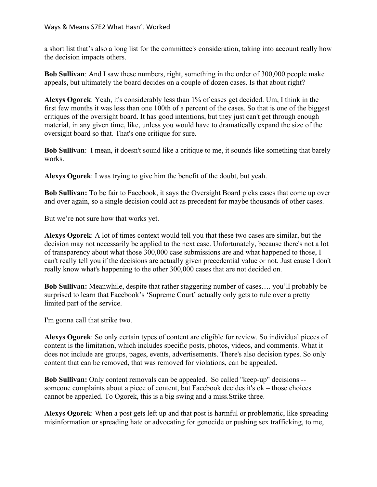a short list that's also a long list for the committee's consideration, taking into account really how the decision impacts others.

**Bob Sullivan**: And I saw these numbers, right, something in the order of 300,000 people make appeals, but ultimately the board decides on a couple of dozen cases. Is that about right?

**Alexys Ogorek**: Yeah, it's considerably less than 1% of cases get decided. Um, I think in the first few months it was less than one 100th of a percent of the cases. So that is one of the biggest critiques of the oversight board. It has good intentions, but they just can't get through enough material, in any given time, like, unless you would have to dramatically expand the size of the oversight board so that. That's one critique for sure.

**Bob Sullivan**: I mean, it doesn't sound like a critique to me, it sounds like something that barely works.

**Alexys Ogorek**: I was trying to give him the benefit of the doubt, but yeah.

**Bob Sullivan:** To be fair to Facebook, it says the Oversight Board picks cases that come up over and over again, so a single decision could act as precedent for maybe thousands of other cases.

But we're not sure how that works yet.

**Alexys Ogorek**: A lot of times context would tell you that these two cases are similar, but the decision may not necessarily be applied to the next case. Unfortunately, because there's not a lot of transparency about what those 300,000 case submissions are and what happened to those, I can't really tell you if the decisions are actually given precedential value or not. Just cause I don't really know what's happening to the other 300,000 cases that are not decided on.

**Bob Sullivan:** Meanwhile, despite that rather staggering number of cases…. you'll probably be surprised to learn that Facebook's 'Supreme Court' actually only gets to rule over a pretty limited part of the service.

I'm gonna call that strike two.

**Alexys Ogorek**: So only certain types of content are eligible for review. So individual pieces of content is the limitation, which includes specific posts, photos, videos, and comments. What it does not include are groups, pages, events, advertisements. There's also decision types. So only content that can be removed, that was removed for violations, can be appealed.

**Bob Sullivan:** Only content removals can be appealed. So called "keep-up" decisions - someone complaints about a piece of content, but Facebook decides it's ok – those choices cannot be appealed. To Ogorek, this is a big swing and a miss.Strike three.

**Alexys Ogorek**: When a post gets left up and that post is harmful or problematic, like spreading misinformation or spreading hate or advocating for genocide or pushing sex trafficking, to me,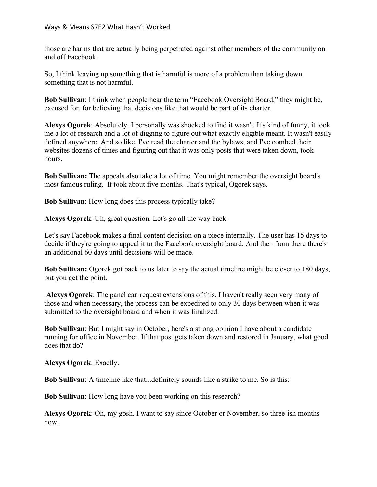those are harms that are actually being perpetrated against other members of the community on and off Facebook.

So, I think leaving up something that is harmful is more of a problem than taking down something that is not harmful.

**Bob Sullivan**: I think when people hear the term "Facebook Oversight Board," they might be, excused for, for believing that decisions like that would be part of its charter.

**Alexys Ogorek**: Absolutely. I personally was shocked to find it wasn't. It's kind of funny, it took me a lot of research and a lot of digging to figure out what exactly eligible meant. It wasn't easily defined anywhere. And so like, I've read the charter and the bylaws, and I've combed their websites dozens of times and figuring out that it was only posts that were taken down, took hours.

**Bob Sullivan:** The appeals also take a lot of time. You might remember the oversight board's most famous ruling. It took about five months. That's typical, Ogorek says.

**Bob Sullivan**: How long does this process typically take?

**Alexys Ogorek**: Uh, great question. Let's go all the way back.

Let's say Facebook makes a final content decision on a piece internally. The user has 15 days to decide if they're going to appeal it to the Facebook oversight board. And then from there there's an additional 60 days until decisions will be made.

**Bob Sullivan:** Ogorek got back to us later to say the actual timeline might be closer to 180 days, but you get the point.

**Alexys Ogorek**: The panel can request extensions of this. I haven't really seen very many of those and when necessary, the process can be expedited to only 30 days between when it was submitted to the oversight board and when it was finalized.

**Bob Sullivan**: But I might say in October, here's a strong opinion I have about a candidate running for office in November. If that post gets taken down and restored in January, what good does that do?

**Alexys Ogorek**: Exactly.

**Bob Sullivan**: A timeline like that...definitely sounds like a strike to me. So is this:

**Bob Sullivan**: How long have you been working on this research?

**Alexys Ogorek**: Oh, my gosh. I want to say since October or November, so three-ish months now.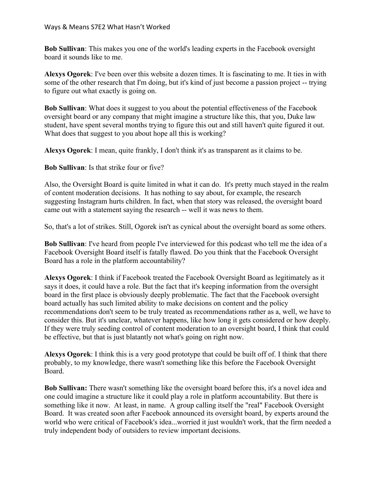**Bob Sullivan**: This makes you one of the world's leading experts in the Facebook oversight board it sounds like to me.

**Alexys Ogorek**: I've been over this website a dozen times. It is fascinating to me. It ties in with some of the other research that I'm doing, but it's kind of just become a passion project -- trying to figure out what exactly is going on.

**Bob Sullivan**: What does it suggest to you about the potential effectiveness of the Facebook oversight board or any company that might imagine a structure like this, that you, Duke law student, have spent several months trying to figure this out and still haven't quite figured it out. What does that suggest to you about hope all this is working?

**Alexys Ogorek**: I mean, quite frankly, I don't think it's as transparent as it claims to be.

**Bob Sullivan**: Is that strike four or five?

Also, the Oversight Board is quite limited in what it can do. It's pretty much stayed in the realm of content moderation decisions. It has nothing to say about, for example, the research suggesting Instagram hurts children. In fact, when that story was released, the oversight board came out with a statement saying the research -- well it was news to them.

So, that's a lot of strikes. Still, Ogorek isn't as cynical about the oversight board as some others.

**Bob Sullivan**: I've heard from people I've interviewed for this podcast who tell me the idea of a Facebook Oversight Board itself is fatally flawed. Do you think that the Facebook Oversight Board has a role in the platform accountability?

**Alexys Ogorek**: I think if Facebook treated the Facebook Oversight Board as legitimately as it says it does, it could have a role. But the fact that it's keeping information from the oversight board in the first place is obviously deeply problematic. The fact that the Facebook oversight board actually has such limited ability to make decisions on content and the policy recommendations don't seem to be truly treated as recommendations rather as a, well, we have to consider this. But it's unclear, whatever happens, like how long it gets considered or how deeply. If they were truly seeding control of content moderation to an oversight board, I think that could be effective, but that is just blatantly not what's going on right now.

**Alexys Ogorek**: I think this is a very good prototype that could be built off of. I think that there probably, to my knowledge, there wasn't something like this before the Facebook Oversight Board.

**Bob Sullivan:** There wasn't something like the oversight board before this, it's a novel idea and one could imagine a structure like it could play a role in platform accountability. But there is something like it now. At least, in name. A group calling itself the "real" Facebook Oversight Board. It was created soon after Facebook announced its oversight board, by experts around the world who were critical of Facebook's idea...worried it just wouldn't work, that the firm needed a truly independent body of outsiders to review important decisions.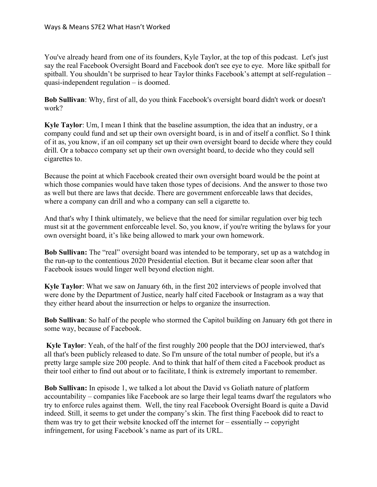You've already heard from one of its founders, Kyle Taylor, at the top of this podcast. Let's just say the real Facebook Oversight Board and Facebook don't see eye to eye. More like spitball for spitball. You shouldn't be surprised to hear Taylor thinks Facebook's attempt at self-regulation – quasi-independent regulation – is doomed.

**Bob Sullivan**: Why, first of all, do you think Facebook's oversight board didn't work or doesn't work?

**Kyle Taylor**: Um, I mean I think that the baseline assumption, the idea that an industry, or a company could fund and set up their own oversight board, is in and of itself a conflict. So I think of it as, you know, if an oil company set up their own oversight board to decide where they could drill. Or a tobacco company set up their own oversight board, to decide who they could sell cigarettes to.

Because the point at which Facebook created their own oversight board would be the point at which those companies would have taken those types of decisions. And the answer to those two as well but there are laws that decide. There are government enforceable laws that decides, where a company can drill and who a company can sell a cigarette to.

And that's why I think ultimately, we believe that the need for similar regulation over big tech must sit at the government enforceable level. So, you know, if you're writing the bylaws for your own oversight board, it's like being allowed to mark your own homework.

**Bob Sullivan:** The "real" oversight board was intended to be temporary, set up as a watchdog in the run-up to the contentious 2020 Presidential election. But it became clear soon after that Facebook issues would linger well beyond election night.

**Kyle Taylor**: What we saw on January 6th, in the first 202 interviews of people involved that were done by the Department of Justice, nearly half cited Facebook or Instagram as a way that they either heard about the insurrection or helps to organize the insurrection.

**Bob Sullivan**: So half of the people who stormed the Capitol building on January 6th got there in some way, because of Facebook.

**Kyle Taylor**: Yeah, of the half of the first roughly 200 people that the DOJ interviewed, that's all that's been publicly released to date. So I'm unsure of the total number of people, but it's a pretty large sample size 200 people. And to think that half of them cited a Facebook product as their tool either to find out about or to facilitate, I think is extremely important to remember.

**Bob Sullivan:** In episode 1, we talked a lot about the David vs Goliath nature of platform accountability – companies like Facebook are so large their legal teams dwarf the regulators who try to enforce rules against them. Well, the tiny real Facebook Oversight Board is quite a David indeed. Still, it seems to get under the company's skin. The first thing Facebook did to react to them was try to get their website knocked off the internet for – essentially -- copyright infringement, for using Facebook's name as part of its URL.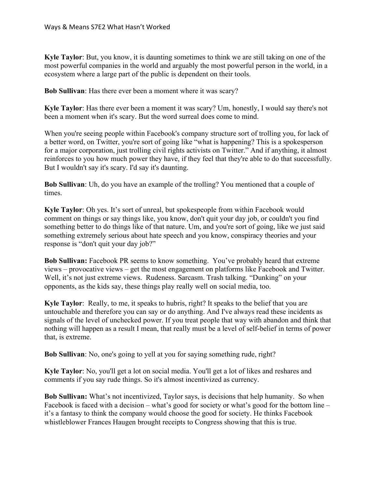**Kyle Taylor**: But, you know, it is daunting sometimes to think we are still taking on one of the most powerful companies in the world and arguably the most powerful person in the world, in a ecosystem where a large part of the public is dependent on their tools.

**Bob Sullivan**: Has there ever been a moment where it was scary?

**Kyle Taylor**: Has there ever been a moment it was scary? Um, honestly, I would say there's not been a moment when it's scary. But the word surreal does come to mind.

When you're seeing people within Facebook's company structure sort of trolling you, for lack of a better word, on Twitter, you're sort of going like "what is happening? This is a spokesperson for a major corporation, just trolling civil rights activists on Twitter." And if anything, it almost reinforces to you how much power they have, if they feel that they're able to do that successfully. But I wouldn't say it's scary. I'd say it's daunting.

**Bob Sullivan**: Uh, do you have an example of the trolling? You mentioned that a couple of times.

**Kyle Taylor**: Oh yes. It's sort of unreal, but spokespeople from within Facebook would comment on things or say things like, you know, don't quit your day job, or couldn't you find something better to do things like of that nature. Um, and you're sort of going, like we just said something extremely serious about hate speech and you know, conspiracy theories and your response is "don't quit your day job?"

**Bob Sullivan:** Facebook PR seems to know something. You've probably heard that extreme views – provocative views – get the most engagement on platforms like Facebook and Twitter. Well, it's not just extreme views. Rudeness. Sarcasm. Trash talking. "Dunking" on your opponents, as the kids say, these things play really well on social media, too.

**Kyle Taylor**: Really, to me, it speaks to hubris, right? It speaks to the belief that you are untouchable and therefore you can say or do anything. And I've always read these incidents as signals of the level of unchecked power. If you treat people that way with abandon and think that nothing will happen as a result I mean, that really must be a level of self-belief in terms of power that, is extreme.

**Bob Sullivan**: No, one's going to yell at you for saying something rude, right?

**Kyle Taylor**: No, you'll get a lot on social media. You'll get a lot of likes and reshares and comments if you say rude things. So it's almost incentivized as currency.

**Bob Sullivan:** What's not incentivized, Taylor says, is decisions that help humanity. So when Facebook is faced with a decision – what's good for society or what's good for the bottom line – it's a fantasy to think the company would choose the good for society. He thinks Facebook whistleblower Frances Haugen brought receipts to Congress showing that this is true.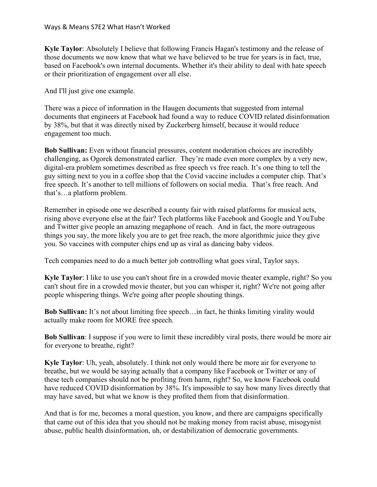**Kyle Taylor**: Absolutely I believe that following Francis Hagan's testimony and the release of those documents we now know that what we have believed to be true for years is in fact, true, based on Facebook's own internal documents. Whether it's their ability to deal with hate speech or their prioritization of engagement over all else.

And I'll just give one example.

There was a piece of information in the Haugen documents that suggested from internal documents that engineers at Facebook had found a way to reduce COVID related disinformation by 38%, but that it was directly nixed by Zuckerberg himself, because it would reduce engagement too much.

**Bob Sullivan:** Even without financial pressures, content moderation choices are incredibly challenging, as Ogorek demonstrated earlier. They're made even more complex by a very new, digital-era problem sometimes described as free speech vs free reach. It's one thing to tell the guy sitting next to you in a coffee shop that the Covid vaccine includes a computer chip. That's free speech. It's another to tell millions of followers on social media. That's free reach. And that's…a platform problem.

Remember in episode one we described a county fair with raised platforms for musical acts, rising above everyone else at the fair? Tech platforms like Facebook and Google and YouTube and Twitter give people an amazing megaphone of reach. And in fact, the more outrageous things you say, the more likely you are to get free reach, the more algorithmic juice they give you. So vaccines with computer chips end up as viral as dancing baby videos.

Tech companies need to do a much better job controlling what goes viral, Taylor says.

**Kyle Taylor**: I like to use you can't shout fire in a crowded movie theater example, right? So you can't shout fire in a crowded movie theater, but you can whisper it, right? We're not going after people whispering things. We're going after people shouting things.

**Bob Sullivan:** It's not about limiting free speech…in fact, he thinks limiting virality would actually make room for MORE free speech.

**Bob Sullivan**: I suppose if you were to limit these incredibly viral posts, there would be more air for everyone to breathe, right?

**Kyle Taylor**: Uh, yeah, absolutely. I think not only would there be more air for everyone to breathe, but we would be saying actually that a company like Facebook or Twitter or any of these tech companies should not be profiting from harm, right? So, we know Facebook could have reduced COVID disinformation by 38%. It's impossible to say how many lives directly that may have saved, but what we know is they profited them from that disinformation.

And that is for me, becomes a moral question, you know, and there are campaigns specifically that came out of this idea that you should not be making money from racist abuse, misogynist abuse, public health disinformation, uh, or destabilization of democratic governments.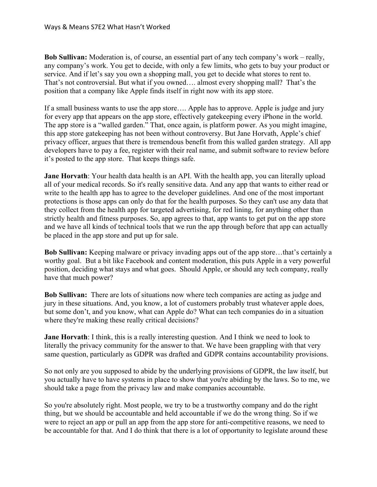**Bob Sullivan:** Moderation is, of course, an essential part of any tech company's work – really, any company's work. You get to decide, with only a few limits, who gets to buy your product or service. And if let's say you own a shopping mall, you get to decide what stores to rent to. That's not controversial. But what if you owned…. almost every shopping mall? That's the position that a company like Apple finds itself in right now with its app store.

If a small business wants to use the app store…. Apple has to approve. Apple is judge and jury for every app that appears on the app store, effectively gatekeeping every iPhone in the world. The app store is a "walled garden." That, once again, is platform power. As you might imagine, this app store gatekeeping has not been without controversy. But Jane Horvath, Apple's chief privacy officer, argues that there is tremendous benefit from this walled garden strategy. All app developers have to pay a fee, register with their real name, and submit software to review before it's posted to the app store. That keeps things safe.

**Jane Horvath**: Your health data health is an API. With the health app, you can literally upload all of your medical records. So it's really sensitive data. And any app that wants to either read or write to the health app has to agree to the developer guidelines. And one of the most important protections is those apps can only do that for the health purposes. So they can't use any data that they collect from the health app for targeted advertising, for red lining, for anything other than strictly health and fitness purposes. So, app agrees to that, app wants to get put on the app store and we have all kinds of technical tools that we run the app through before that app can actually be placed in the app store and put up for sale.

**Bob Sullivan:** Keeping malware or privacy invading apps out of the app store…that's certainly a worthy goal. But a bit like Facebook and content moderation, this puts Apple in a very powerful position, deciding what stays and what goes. Should Apple, or should any tech company, really have that much power?

**Bob Sullivan:** There are lots of situations now where tech companies are acting as judge and jury in these situations. And, you know, a lot of customers probably trust whatever apple does, but some don't, and you know, what can Apple do? What can tech companies do in a situation where they're making these really critical decisions?

**Jane Horvath**: I think, this is a really interesting question. And I think we need to look to literally the privacy community for the answer to that. We have been grappling with that very same question, particularly as GDPR was drafted and GDPR contains accountability provisions.

So not only are you supposed to abide by the underlying provisions of GDPR, the law itself, but you actually have to have systems in place to show that you're abiding by the laws. So to me, we should take a page from the privacy law and make companies accountable.

So you're absolutely right. Most people, we try to be a trustworthy company and do the right thing, but we should be accountable and held accountable if we do the wrong thing. So if we were to reject an app or pull an app from the app store for anti-competitive reasons, we need to be accountable for that. And I do think that there is a lot of opportunity to legislate around these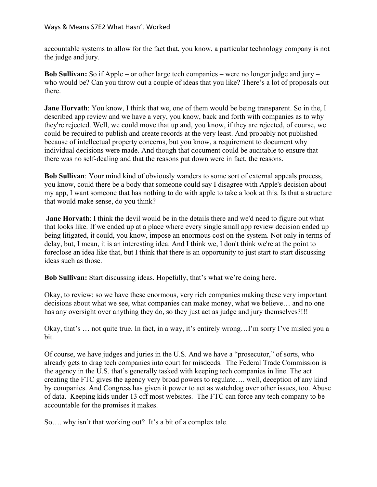accountable systems to allow for the fact that, you know, a particular technology company is not the judge and jury.

**Bob Sullivan:** So if Apple – or other large tech companies – were no longer judge and jury – who would be? Can you throw out a couple of ideas that you like? There's a lot of proposals out there.

**Jane Horvath**: You know, I think that we, one of them would be being transparent. So in the, I described app review and we have a very, you know, back and forth with companies as to why they're rejected. Well, we could move that up and, you know, if they are rejected, of course, we could be required to publish and create records at the very least. And probably not published because of intellectual property concerns, but you know, a requirement to document why individual decisions were made. And though that document could be auditable to ensure that there was no self-dealing and that the reasons put down were in fact, the reasons.

**Bob Sullivan**: Your mind kind of obviously wanders to some sort of external appeals process, you know, could there be a body that someone could say I disagree with Apple's decision about my app, I want someone that has nothing to do with apple to take a look at this. Is that a structure that would make sense, do you think?

**Jane Horvath:** I think the devil would be in the details there and we'd need to figure out what that looks like. If we ended up at a place where every single small app review decision ended up being litigated, it could, you know, impose an enormous cost on the system. Not only in terms of delay, but, I mean, it is an interesting idea. And I think we, I don't think we're at the point to foreclose an idea like that, but I think that there is an opportunity to just start to start discussing ideas such as those.

**Bob Sullivan:** Start discussing ideas. Hopefully, that's what we're doing here.

Okay, to review: so we have these enormous, very rich companies making these very important decisions about what we see, what companies can make money, what we believe… and no one has any oversight over anything they do, so they just act as judge and jury themselves?!!!

Okay, that's … not quite true. In fact, in a way, it's entirely wrong…I'm sorry I've misled you a bit.

Of course, we have judges and juries in the U.S. And we have a "prosecutor," of sorts, who already gets to drag tech companies into court for misdeeds. The Federal Trade Commission is the agency in the U.S. that's generally tasked with keeping tech companies in line. The act creating the FTC gives the agency very broad powers to regulate…. well, deception of any kind by companies. And Congress has given it power to act as watchdog over other issues, too. Abuse of data. Keeping kids under 13 off most websites. The FTC can force any tech company to be accountable for the promises it makes.

So…. why isn't that working out? It's a bit of a complex tale.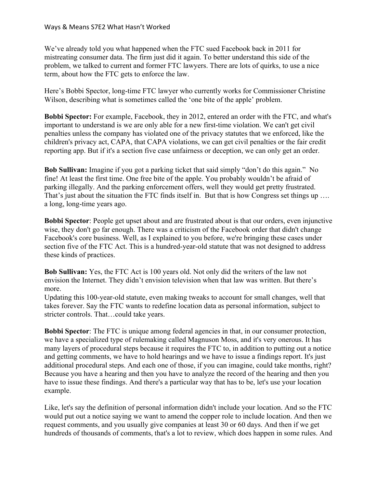We've already told you what happened when the FTC sued Facebook back in 2011 for mistreating consumer data. The firm just did it again. To better understand this side of the problem, we talked to current and former FTC lawyers. There are lots of quirks, to use a nice term, about how the FTC gets to enforce the law.

Here's Bobbi Spector, long-time FTC lawyer who currently works for Commissioner Christine Wilson, describing what is sometimes called the 'one bite of the apple' problem.

**Bobbi Spector:** For example, Facebook, they in 2012, entered an order with the FTC, and what's important to understand is we are only able for a new first-time violation. We can't get civil penalties unless the company has violated one of the privacy statutes that we enforced, like the children's privacy act, CAPA, that CAPA violations, we can get civil penalties or the fair credit reporting app. But if it's a section five case unfairness or deception, we can only get an order.

**Bob Sullivan:** Imagine if you got a parking ticket that said simply "don't do this again." No fine! At least the first time. One free bite of the apple. You probably wouldn't be afraid of parking illegally. And the parking enforcement offers, well they would get pretty frustrated. That's just about the situation the FTC finds itself in. But that is how Congress set things up .... a long, long-time years ago.

**Bobbi Spector**: People get upset about and are frustrated about is that our orders, even injunctive wise, they don't go far enough. There was a criticism of the Facebook order that didn't change Facebook's core business. Well, as I explained to you before, we're bringing these cases under section five of the FTC Act. This is a hundred-year-old statute that was not designed to address these kinds of practices.

**Bob Sullivan:** Yes, the FTC Act is 100 years old. Not only did the writers of the law not envision the Internet. They didn't envision television when that law was written. But there's more.

Updating this 100-year-old statute, even making tweaks to account for small changes, well that takes forever. Say the FTC wants to redefine location data as personal information, subject to stricter controls. That…could take years.

**Bobbi Spector**: The FTC is unique among federal agencies in that, in our consumer protection, we have a specialized type of rulemaking called Magnuson Moss, and it's very onerous. It has many layers of procedural steps because it requires the FTC to, in addition to putting out a notice and getting comments, we have to hold hearings and we have to issue a findings report. It's just additional procedural steps. And each one of those, if you can imagine, could take months, right? Because you have a hearing and then you have to analyze the record of the hearing and then you have to issue these findings. And there's a particular way that has to be, let's use your location example.

Like, let's say the definition of personal information didn't include your location. And so the FTC would put out a notice saying we want to amend the copper role to include location. And then we request comments, and you usually give companies at least 30 or 60 days. And then if we get hundreds of thousands of comments, that's a lot to review, which does happen in some rules. And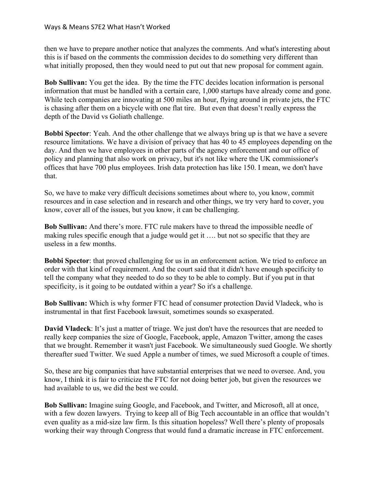then we have to prepare another notice that analyzes the comments. And what's interesting about this is if based on the comments the commission decides to do something very different than what initially proposed, then they would need to put out that new proposal for comment again.

**Bob Sullivan:** You get the idea. By the time the FTC decides location information is personal information that must be handled with a certain care, 1,000 startups have already come and gone. While tech companies are innovating at 500 miles an hour, flying around in private jets, the FTC is chasing after them on a bicycle with one flat tire. But even that doesn't really express the depth of the David vs Goliath challenge.

**Bobbi Spector:** Yeah. And the other challenge that we always bring up is that we have a severe resource limitations. We have a division of privacy that has 40 to 45 employees depending on the day. And then we have employees in other parts of the agency enforcement and our office of policy and planning that also work on privacy, but it's not like where the UK commissioner's offices that have 700 plus employees. Irish data protection has like 150. I mean, we don't have that.

So, we have to make very difficult decisions sometimes about where to, you know, commit resources and in case selection and in research and other things, we try very hard to cover, you know, cover all of the issues, but you know, it can be challenging.

**Bob Sullivan:** And there's more. FTC rule makers have to thread the impossible needle of making rules specific enough that a judge would get it …. but not so specific that they are useless in a few months.

**Bobbi Spector**: that proved challenging for us in an enforcement action. We tried to enforce an order with that kind of requirement. And the court said that it didn't have enough specificity to tell the company what they needed to do so they to be able to comply. But if you put in that specificity, is it going to be outdated within a year? So it's a challenge.

**Bob Sullivan:** Which is why former FTC head of consumer protection David Vladeck, who is instrumental in that first Facebook lawsuit, sometimes sounds so exasperated.

**David Vladeck**: It's just a matter of triage. We just don't have the resources that are needed to really keep companies the size of Google, Facebook, apple, Amazon Twitter, among the cases that we brought. Remember it wasn't just Facebook. We simultaneously sued Google. We shortly thereafter sued Twitter. We sued Apple a number of times, we sued Microsoft a couple of times.

So, these are big companies that have substantial enterprises that we need to oversee. And, you know, I think it is fair to criticize the FTC for not doing better job, but given the resources we had available to us, we did the best we could.

**Bob Sullivan:** Imagine suing Google, and Facebook, and Twitter, and Microsoft, all at once, with a few dozen lawyers. Trying to keep all of Big Tech accountable in an office that wouldn't even quality as a mid-size law firm. Is this situation hopeless? Well there's plenty of proposals working their way through Congress that would fund a dramatic increase in FTC enforcement.